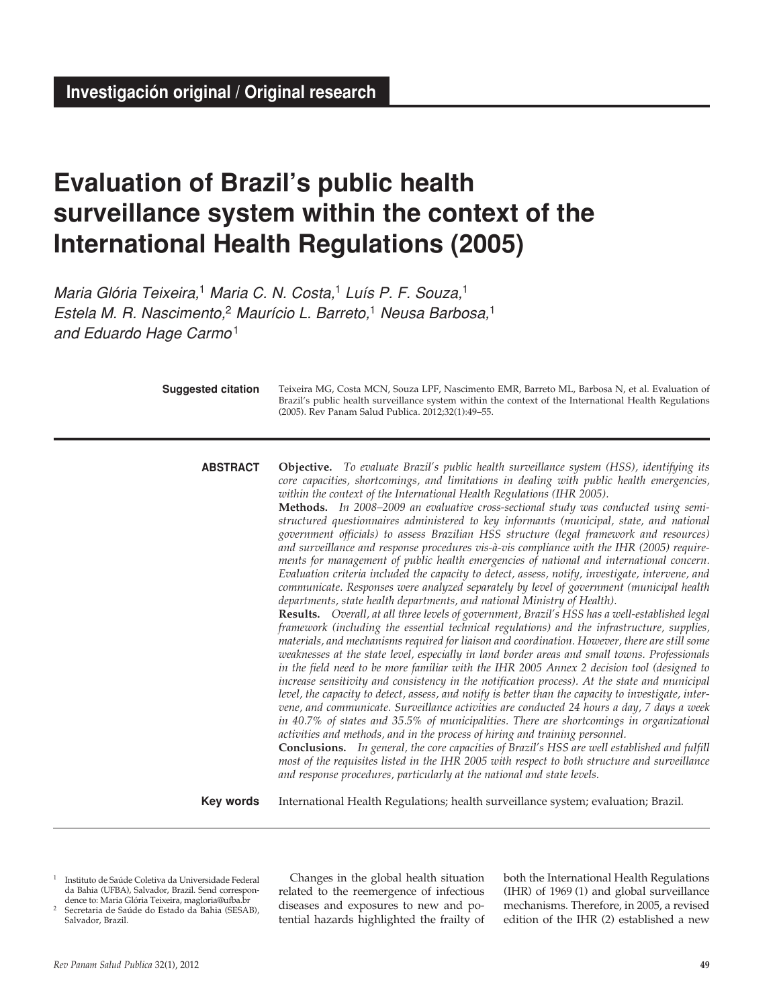**Investigación original / Original research**

# **Evaluation of Brazil's public health surveillance system within the context of the International Health Regulations (2005)**

*Maria Glória Teixeira,*1 *Maria C. N. Costa,*1 *Luís P. F. Souza,*<sup>1</sup> *Estela M. R. Nascimento,*2 *Maurício L. Barreto,*1 *Neusa Barbosa,*<sup>1</sup> *and Eduardo Hage Carmo*<sup>1</sup>

| <b>Suggested citation</b> | Teixeira MG, Costa MCN, Souza LPF, Nascimento EMR, Barreto ML, Barbosa N, et al. Evaluation of<br>Brazil's public health surveillance system within the context of the International Health Regulations<br>(2005). Rev Panam Salud Publica. 2012;32(1):49-55.                                                                                                                                                                                                                                                                                                                                                                                                                                                                                                                                                                                                                                                                                                                                                                                                                                                                                                                                                                                                                                                                                                                                                                                                                                                                                                                                                                                                                                                                                                                                                                                                                                                                                                                                                                                                                                                                                                                                                                                                                                |
|---------------------------|----------------------------------------------------------------------------------------------------------------------------------------------------------------------------------------------------------------------------------------------------------------------------------------------------------------------------------------------------------------------------------------------------------------------------------------------------------------------------------------------------------------------------------------------------------------------------------------------------------------------------------------------------------------------------------------------------------------------------------------------------------------------------------------------------------------------------------------------------------------------------------------------------------------------------------------------------------------------------------------------------------------------------------------------------------------------------------------------------------------------------------------------------------------------------------------------------------------------------------------------------------------------------------------------------------------------------------------------------------------------------------------------------------------------------------------------------------------------------------------------------------------------------------------------------------------------------------------------------------------------------------------------------------------------------------------------------------------------------------------------------------------------------------------------------------------------------------------------------------------------------------------------------------------------------------------------------------------------------------------------------------------------------------------------------------------------------------------------------------------------------------------------------------------------------------------------------------------------------------------------------------------------------------------------|
| <b>ABSTRACT</b>           | <b>Objective.</b> To evaluate Brazil's public health surveillance system (HSS), identifying its<br>core capacities, shortcomings, and limitations in dealing with public health emergencies,<br>within the context of the International Health Regulations (IHR 2005).<br>Methods. In 2008-2009 an evaluative cross-sectional study was conducted using semi-<br>structured questionnaires administered to key informants (municipal, state, and national<br>government officials) to assess Brazilian HSS structure (legal framework and resources)<br>and surveillance and response procedures vis-à-vis compliance with the IHR (2005) require-<br>ments for management of public health emergencies of national and international concern.<br>Evaluation criteria included the capacity to detect, assess, notify, investigate, intervene, and<br>communicate. Responses were analyzed separately by level of government (municipal health<br>departments, state health departments, and national Ministry of Health).<br>Results. Overall, at all three levels of government, Brazil's HSS has a well-established legal<br>framework (including the essential technical regulations) and the infrastructure, supplies,<br>materials, and mechanisms required for liaison and coordination. However, there are still some<br>weaknesses at the state level, especially in land border areas and small towns. Professionals<br>in the field need to be more familiar with the IHR 2005 Annex 2 decision tool (designed to<br>increase sensitivity and consistency in the notification process). At the state and municipal<br>level, the capacity to detect, assess, and notify is better than the capacity to investigate, inter-<br>vene, and communicate. Surveillance activities are conducted 24 hours a day, 7 days a week<br>in 40.7% of states and 35.5% of municipalities. There are shortcomings in organizational<br>activities and methods, and in the process of hiring and training personnel.<br>Conclusions. In general, the core capacities of Brazil's HSS are well established and fulfill<br>most of the requisites listed in the IHR 2005 with respect to both structure and surveillance<br>and response procedures, particularly at the national and state levels. |
| <b>Key words</b>          | International Health Regulations; health surveillance system; evaluation; Brazil.                                                                                                                                                                                                                                                                                                                                                                                                                                                                                                                                                                                                                                                                                                                                                                                                                                                                                                                                                                                                                                                                                                                                                                                                                                                                                                                                                                                                                                                                                                                                                                                                                                                                                                                                                                                                                                                                                                                                                                                                                                                                                                                                                                                                            |

- 1 Instituto de Saúde Coletiva da Universidade Federal da Bahia (UFBA), Salvador, Brazil. Send correspondence to: Maria Glória Teixeira, magloria@ufba.br
- 2 Secretaria de Saúde do Estado da Bahia (SESAB), Salvador, Brazil.

Changes in the global health situation related to the reemergence of infectious diseases and exposures to new and potential hazards highlighted the frailty of both the International Health Regulations (IHR) of 1969 (1) and global surveillance mechanisms. Therefore, in 2005, a revised edition of the IHR (2) established a new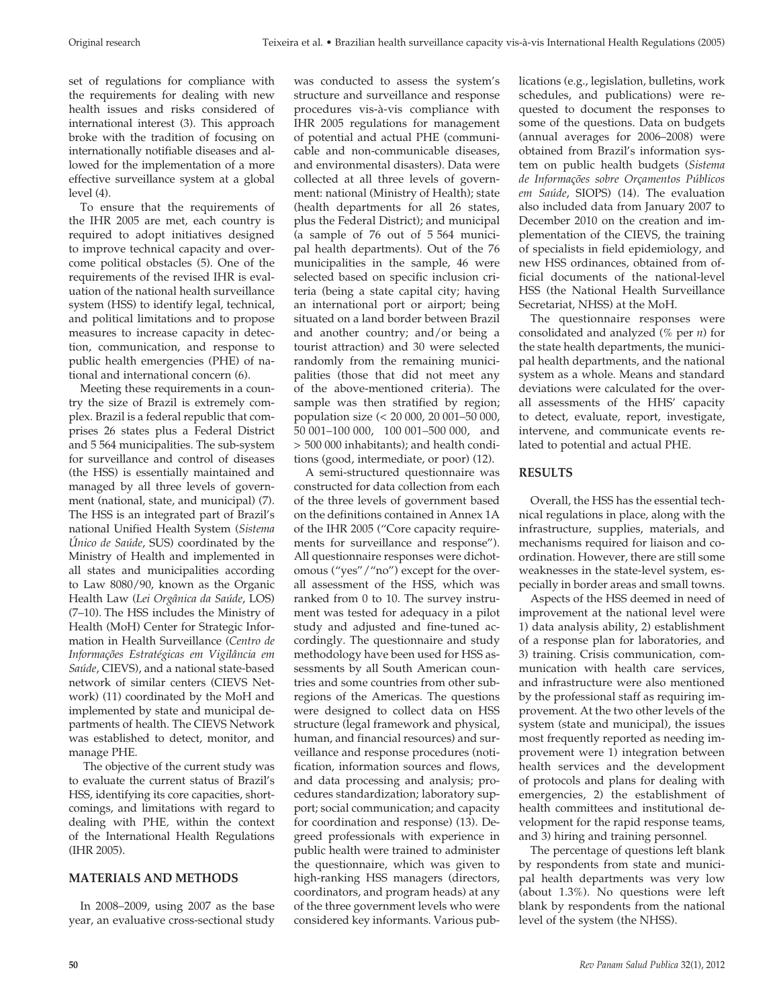set of regulations for compliance with the requirements for dealing with new health issues and risks considered of international interest (3). This approach broke with the tradition of focusing on internationally notifiable diseases and allowed for the implementation of a more effective surveillance system at a global level (4).

To ensure that the requirements of the IHR 2005 are met, each country is required to adopt initiatives designed to improve technical capacity and overcome political obstacles (5). One of the requirements of the revised IHR is evaluation of the national health surveillance system (HSS) to identify legal, technical, and political limitations and to propose measures to increase capacity in detection, communication, and response to public health emergencies (PHE) of national and international concern (6).

Meeting these requirements in a country the size of Brazil is extremely complex. Brazil is a federal republic that comprises 26 states plus a Federal District and 5 564 municipalities. The sub-system for surveillance and control of diseases (the HSS) is essentially maintained and managed by all three levels of government (national, state, and municipal) (7). The HSS is an integrated part of Brazil's national Unified Health System (*Sistema Único de Saúde*, SUS) coordinated by the Ministry of Health and implemented in all states and municipalities according to Law 8080/90, known as the Organic Health Law (*Lei Orgânica da Saúde*, LOS) (7–10). The HSS includes the Ministry of Health (MoH) Center for Strategic Information in Health Surveillance (*Centro de Informações Estratégicas em Vigilância em Saúde*, CIEVS), and a national state-based network of similar centers (CIEVS Network) (11) coordinated by the MoH and implemented by state and municipal departments of health. The CIEVS Network was established to detect, monitor, and manage PHE.

 The objective of the current study was to evaluate the current status of Brazil's HSS, identifying its core capacities, shortcomings, and limitations with regard to dealing with PHE*,* within the context of the International Health Regulations (IHR 2005).

## **MATERIALS AND METHODS**

In 2008–2009, using 2007 as the base year, an evaluative cross-sectional study was conducted to assess the system's structure and surveillance and response procedures vis-à-vis compliance with IHR 2005 regulations for management of potential and actual PHE (communicable and non-communicable diseases, and environmental disasters). Data were collected at all three levels of government: national (Ministry of Health); state (health departments for all 26 states, plus the Federal District); and municipal (a sample of 76 out of 5 564 municipal health departments). Out of the 76 municipalities in the sample, 46 were selected based on specific inclusion criteria (being a state capital city; having an international port or airport; being situated on a land border between Brazil and another country; and/or being a tourist attraction) and 30 were selected randomly from the remaining municipalities (those that did not meet any of the above-mentioned criteria). The sample was then stratified by region; population size (< 20 000, 20 001–50 000, 50 001–100 000, 100 001–500 000, and > 500 000 inhabitants); and health conditions (good, intermediate, or poor) (12).

A semi-structured questionnaire was constructed for data collection from each of the three levels of government based on the definitions contained in Annex 1A of the IHR 2005 ("Core capacity requirements for surveillance and response"). All questionnaire responses were dichotomous ("yes"/"no") except for the overall assessment of the HSS, which was ranked from 0 to 10. The survey instrument was tested for adequacy in a pilot study and adjusted and fine-tuned accordingly. The questionnaire and study methodology have been used for HSS assessments by all South American countries and some countries from other subregions of the Americas. The questions were designed to collect data on HSS structure (legal framework and physical, human, and financial resources) and surveillance and response procedures (notification, information sources and flows, and data processing and analysis; procedures standardization; laboratory support; social communication; and capacity for coordination and response) (13). Degreed professionals with experience in public health were trained to administer the questionnaire, which was given to high-ranking HSS managers (directors, coordinators, and program heads) at any of the three government levels who were considered key informants. Various publications (e.g., legislation, bulletins, work schedules, and publications) were requested to document the responses to some of the questions. Data on budgets (annual averages for 2006–2008) were obtained from Brazil's information system on public health budgets (*Sistema de Informações sobre Orçamentos Públicos em Saúde*, SIOPS) (14). The evaluation also included data from January 2007 to December 2010 on the creation and implementation of the CIEVS, the training of specialists in field epidemiology, and new HSS ordinances, obtained from official documents of the national-level HSS (the National Health Surveillance Secretariat, NHSS) at the MoH.

The questionnaire responses were consolidated and analyzed (% per *n*) for the state health departments, the municipal health departments, and the national system as a whole. Means and standard deviations were calculated for the overall assessments of the HHS' capacity to detect, evaluate, report, investigate, intervene, and communicate events related to potential and actual PHE.

## **RESULTS**

Overall, the HSS has the essential technical regulations in place, along with the infrastructure, supplies, materials, and mechanisms required for liaison and coordination. However, there are still some weaknesses in the state-level system, especially in border areas and small towns.

Aspects of the HSS deemed in need of improvement at the national level were 1) data analysis ability, 2) establishment of a response plan for laboratories, and 3) training. Crisis communication, communication with health care services, and infrastructure were also mentioned by the professional staff as requiring improvement. At the two other levels of the system (state and municipal), the issues most frequently reported as needing improvement were 1) integration between health services and the development of protocols and plans for dealing with emergencies, 2) the establishment of health committees and institutional development for the rapid response teams, and 3) hiring and training personnel.

The percentage of questions left blank by respondents from state and municipal health departments was very low (about 1.3%). No questions were left blank by respondents from the national level of the system (the NHSS).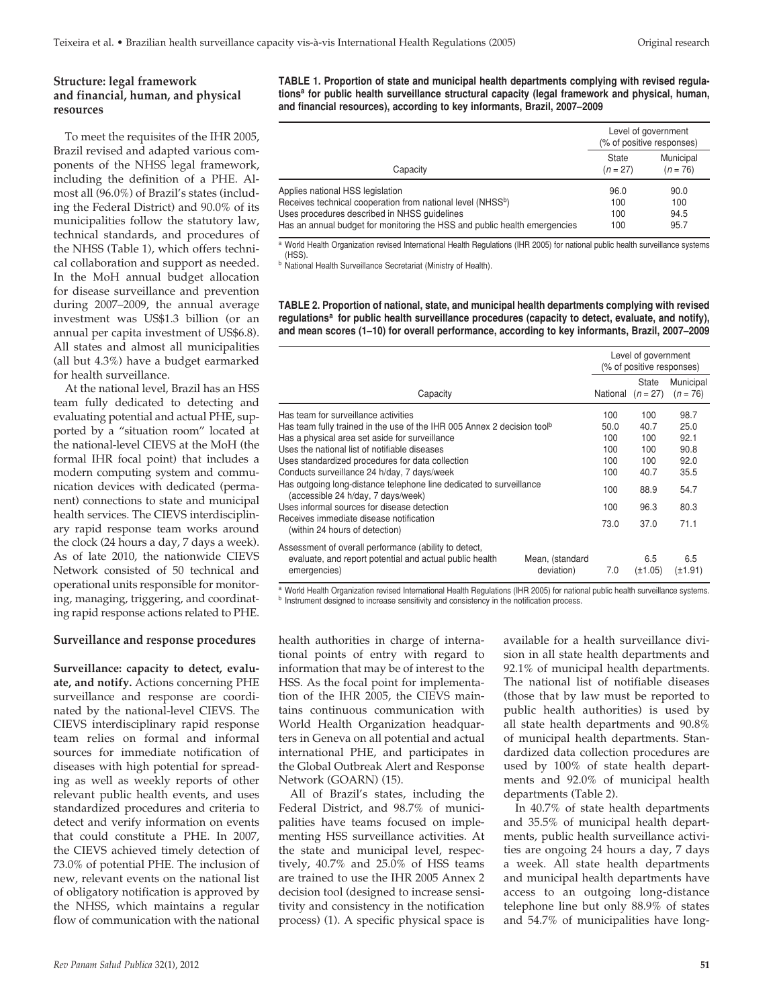## **Structure: legal framework and financial, human, and physical resources**

To meet the requisites of the IHR 2005, Brazil revised and adapted various components of the NHSS legal framework, including the definition of a PHE. Almost all (96.0%) of Brazil's states (including the Federal District) and 90.0% of its municipalities follow the statutory law, technical standards, and procedures of the NHSS (Table 1), which offers technical collaboration and support as needed. In the MoH annual budget allocation for disease surveillance and prevention during 2007–2009, the annual average investment was US\$1.3 billion (or an annual per capita investment of US\$6.8). All states and almost all municipalities (all but 4.3%) have a budget earmarked for health surveillance.

At the national level, Brazil has an HSS team fully dedicated to detecting and evaluating potential and actual PHE, supported by a "situation room" located at the national-level CIEVS at the MoH (the formal IHR focal point) that includes a modern computing system and communication devices with dedicated (permanent) connections to state and municipal health services. The CIEVS interdisciplinary rapid response team works around the clock (24 hours a day, 7 days a week). As of late 2010, the nationwide CIEVS Network consisted of 50 technical and operational units responsible for monitoring, managing, triggering, and coordinating rapid response actions related to PHE.

#### **Surveillance and response procedures**

**Surveillance: capacity to detect, evaluate, and notify.** Actions concerning PHE surveillance and response are coordinated by the national-level CIEVS. The CIEVS interdisciplinary rapid response team relies on formal and informal sources for immediate notification of diseases with high potential for spreading as well as weekly reports of other relevant public health events, and uses standardized procedures and criteria to detect and verify information on events that could constitute a PHE. In 2007, the CIEVS achieved timely detection of 73.0% of potential PHE. The inclusion of new, relevant events on the national list of obligatory notification is approved by the NHSS, which maintains a regular flow of communication with the national

**TABLE 1. Proportion of state and municipal health departments complying with revised regulationsa for public health surveillance structural capacity (legal framework and physical, human, and financial resources), according to key informants, Brazil, 2007–2009**

|                                                                                                                                                                                                                             | Level of government<br>(% of positive responses) |                             |  |
|-----------------------------------------------------------------------------------------------------------------------------------------------------------------------------------------------------------------------------|--------------------------------------------------|-----------------------------|--|
| Capacity                                                                                                                                                                                                                    | State<br>$(n = 27)$                              | Municipal<br>$(n = 76)$     |  |
| Applies national HSS legislation<br>Receives technical cooperation from national level (NHSSb)<br>Uses procedures described in NHSS quidelines<br>Has an annual budget for monitoring the HSS and public health emergencies | 96.0<br>100<br>100<br>100                        | 90.0<br>100<br>94.5<br>95.7 |  |

a World Health Organization revised International Health Regulations (IHR 2005) for national public health surveillance systems (HSS).

b National Health Surveillance Secretariat (Ministry of Health).

**TABLE 2. Proportion of national, state, and municipal health departments complying with revised**  regulations<sup>a</sup> for public health surveillance procedures (capacity to detect, evaluate, and notify), **and mean scores (1–10) for overall performance, according to key informants, Brazil, 2007–2009**

|                                                                                                                                                                                                                                                                                                                                                                                                                                                                                                                                                                            |                               |                                                               |                                                                  | Level of government<br>(% of positive responses)                     |  |  |
|----------------------------------------------------------------------------------------------------------------------------------------------------------------------------------------------------------------------------------------------------------------------------------------------------------------------------------------------------------------------------------------------------------------------------------------------------------------------------------------------------------------------------------------------------------------------------|-------------------------------|---------------------------------------------------------------|------------------------------------------------------------------|----------------------------------------------------------------------|--|--|
| Capacity                                                                                                                                                                                                                                                                                                                                                                                                                                                                                                                                                                   |                               | National                                                      | State<br>$(n = 27)$                                              | Municipal<br>$(n = 76)$                                              |  |  |
| Has team for surveillance activities<br>Has team fully trained in the use of the IHR 005 Annex 2 decision tool <sup>b</sup><br>Has a physical area set aside for surveillance<br>Uses the national list of notifiable diseases<br>Uses standardized procedures for data collection<br>Conducts surveillance 24 h/day, 7 days/week<br>Has outgoing long-distance telephone line dedicated to surveillance<br>(accessible 24 h/day, 7 days/week)<br>Uses informal sources for disease detection<br>Receives immediate disease notification<br>(within 24 hours of detection) |                               | 100<br>50.0<br>100<br>100<br>100<br>100<br>100<br>100<br>73.0 | 100<br>40.7<br>100<br>100<br>100<br>40.7<br>88.9<br>96.3<br>37.0 | 98.7<br>25.0<br>92.1<br>90.8<br>92.0<br>35.5<br>54.7<br>80.3<br>71.1 |  |  |
| Assessment of overall performance (ability to detect,<br>evaluate, and report potential and actual public health<br>emergencies)                                                                                                                                                                                                                                                                                                                                                                                                                                           | Mean, (standard<br>deviation) | 7.0                                                           | 6.5<br>$(\pm 1.05)$                                              | 6.5<br>$(\pm 1.91)$                                                  |  |  |

a World Health Organization revised International Health Regulations (IHR 2005) for national public health surveillance systems.

b Instrument designed to increase sensitivity and consistency in the notification process.

health authorities in charge of international points of entry with regard to information that may be of interest to the HSS. As the focal point for implementation of the IHR 2005, the CIEVS maintains continuous communication with World Health Organization headquarters in Geneva on all potential and actual international PHE, and participates in the Global Outbreak Alert and Response Network (GOARN) (15).

All of Brazil's states, including the Federal District, and 98.7% of municipalities have teams focused on implementing HSS surveillance activities. At the state and municipal level, respectively, 40.7% and 25.0% of HSS teams are trained to use the IHR 2005 Annex 2 decision tool (designed to increase sensitivity and consistency in the notification process) (1). A specific physical space is

available for a health surveillance division in all state health departments and 92.1% of municipal health departments. The national list of notifiable diseases (those that by law must be reported to public health authorities) is used by all state health departments and 90.8% of municipal health departments. Standardized data collection procedures are used by 100% of state health departments and 92.0% of municipal health departments (Table 2).

In 40.7% of state health departments and 35.5% of municipal health departments, public health surveillance activities are ongoing 24 hours a day, 7 days a week. All state health departments and municipal health departments have access to an outgoing long-distance telephone line but only 88.9% of states and 54.7% of municipalities have long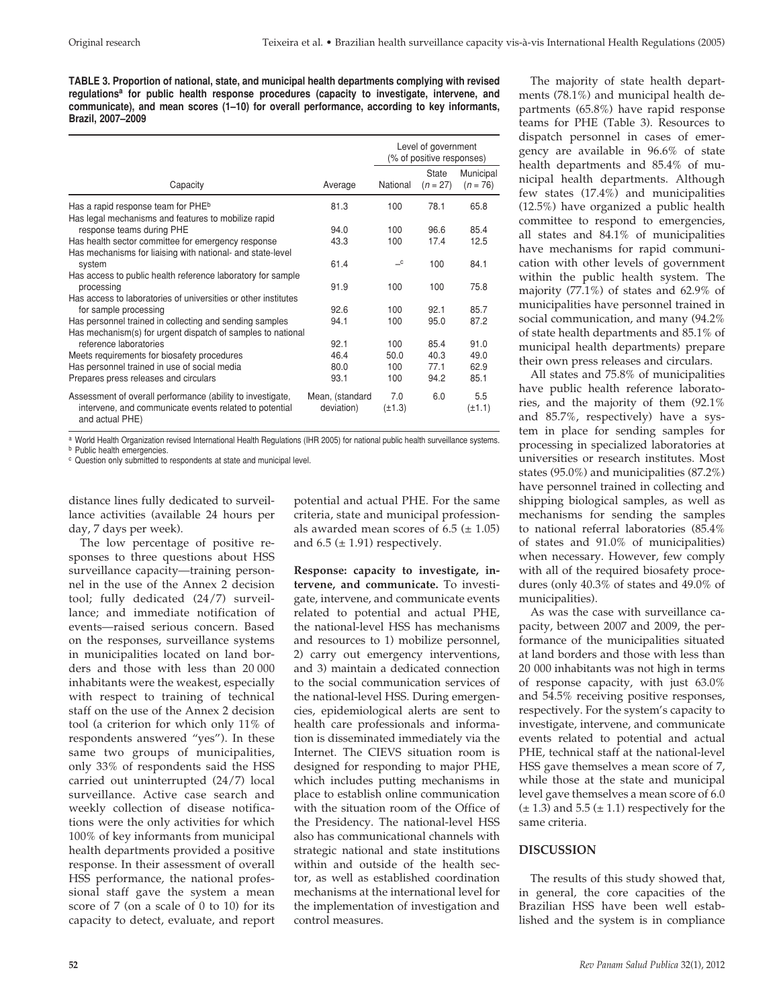**TABLE 3. Proportion of national, state, and municipal health departments complying with revised regulationsa for public health response procedures (capacity to investigate, intervene, and communicate), and mean scores (1–10) for overall performance, according to key informants, Brazil, 2007–2009**

|                                                                           |                 |              | Level of government<br>(% of positive responses) |                         |  |
|---------------------------------------------------------------------------|-----------------|--------------|--------------------------------------------------|-------------------------|--|
| Capacity                                                                  | Average         | National     | State<br>$(n = 27)$                              | Municipal<br>$(n = 76)$ |  |
| Has a rapid response team for PHE <sup>b</sup>                            | 81.3            | 100          | 78.1                                             | 65.8                    |  |
| Has legal mechanisms and features to mobilize rapid                       |                 |              |                                                  |                         |  |
| response teams during PHE                                                 | 94.0            | 100          | 96.6                                             | 85.4                    |  |
| Has health sector committee for emergency response                        | 43.3            | 100          | 17.4                                             | 12.5                    |  |
| Has mechanisms for liaising with national- and state-level                |                 |              |                                                  |                         |  |
| system                                                                    | 61.4            | $\mathbf{C}$ | 100                                              | 84.1                    |  |
| Has access to public health reference laboratory for sample<br>processing | 91.9            | 100          | 100                                              | 75.8                    |  |
| Has access to laboratories of universities or other institutes            |                 |              |                                                  |                         |  |
| for sample processing                                                     | 92.6            | 100          | 92.1                                             | 85.7                    |  |
| Has personnel trained in collecting and sending samples                   | 94.1            | 100          | 95.0                                             | 87.2                    |  |
| Has mechanism(s) for urgent dispatch of samples to national               |                 |              |                                                  |                         |  |
| reference laboratories                                                    | 92.1            | 100          | 85.4                                             | 91.0                    |  |
| Meets requirements for biosafety procedures                               | 46.4            | 50.0         | 40.3                                             | 49.0                    |  |
| Has personnel trained in use of social media                              | 80.0            | 100          | 77.1                                             | 62.9                    |  |
| Prepares press releases and circulars                                     | 93.1            | 100          | 94.2                                             | 85.1                    |  |
| Assessment of overall performance (ability to investigate,                | Mean, (standard | 7.0          | 6.0                                              | 5.5                     |  |
| intervene, and communicate events related to potential<br>and actual PHE) | deviation)      | $(\pm 1.3)$  |                                                  | $(\pm 1.1)$             |  |

<sup>a</sup> World Health Organization revised International Health Regulations (IHR 2005) for national public health surveillance systems.

<sup>b</sup> Public health emergencies.

<sup>c</sup> Question only submitted to respondents at state and municipal level.

distance lines fully dedicated to surveillance activities (available 24 hours per day, 7 days per week).

The low percentage of positive responses to three questions about HSS surveillance capacity—training personnel in the use of the Annex 2 decision tool; fully dedicated (24/7) surveillance; and immediate notification of events—raised serious concern. Based on the responses, surveillance systems in municipalities located on land borders and those with less than 20 000 inhabitants were the weakest, especially with respect to training of technical staff on the use of the Annex 2 decision tool (a criterion for which only 11% of respondents answered "yes"). In these same two groups of municipalities, only 33% of respondents said the HSS carried out uninterrupted (24/7) local surveillance. Active case search and weekly collection of disease notifications were the only activities for which 100% of key informants from municipal health departments provided a positive response. In their assessment of overall HSS performance, the national professional staff gave the system a mean score of 7 (on a scale of 0 to 10) for its capacity to detect, evaluate, and report

potential and actual PHE. For the same criteria, state and municipal professionals awarded mean scores of  $6.5$  ( $\pm$  1.05) and  $6.5$  ( $\pm$  1.91) respectively.

**Response: capacity to investigate, intervene, and communicate.** To investigate, intervene, and communicate events related to potential and actual PHE, the national-level HSS has mechanisms and resources to 1) mobilize personnel, 2) carry out emergency interventions, and 3) maintain a dedicated connection to the social communication services of the national-level HSS. During emergencies, epidemiological alerts are sent to health care professionals and information is disseminated immediately via the Internet. The CIEVS situation room is designed for responding to major PHE, which includes putting mechanisms in place to establish online communication with the situation room of the Office of the Presidency. The national-level HSS also has communicational channels with strategic national and state institutions within and outside of the health sector, as well as established coordination mechanisms at the international level for the implementation of investigation and control measures.

The majority of state health departments (78.1%) and municipal health departments (65.8%) have rapid response teams for PHE (Table 3). Resources to dispatch personnel in cases of emergency are available in 96.6% of state health departments and 85.4% of municipal health departments. Although few states (17.4%) and municipalities (12.5%) have organized a public health committee to respond to emergencies, all states and 84.1% of municipalities have mechanisms for rapid communication with other levels of government within the public health system. The majority (77.1%) of states and 62.9% of municipalities have personnel trained in social communication, and many (94.2% of state health departments and 85.1% of municipal health departments) prepare their own press releases and circulars.

All states and 75.8% of municipalities have public health reference laboratories, and the majority of them (92.1% and 85.7%, respectively) have a system in place for sending samples for processing in specialized laboratories at universities or research institutes. Most states (95.0%) and municipalities (87.2%) have personnel trained in collecting and shipping biological samples, as well as mechanisms for sending the samples to national referral laboratories (85.4% of states and 91.0% of municipalities) when necessary. However, few comply with all of the required biosafety procedures (only 40.3% of states and 49.0% of municipalities).

As was the case with surveillance capacity, between 2007 and 2009, the performance of the municipalities situated at land borders and those with less than 20 000 inhabitants was not high in terms of response capacity, with just 63.0% and 54.5% receiving positive responses, respectively. For the system's capacity to investigate, intervene, and communicate events related to potential and actual PHE, technical staff at the national-level HSS gave themselves a mean score of 7, while those at the state and municipal level gave themselves a mean score of 6.0  $(\pm 1.3)$  and  $5.5 (\pm 1.1)$  respectively for the same criteria.

## **DISCUSSION**

The results of this study showed that, in general, the core capacities of the Brazilian HSS have been well established and the system is in compliance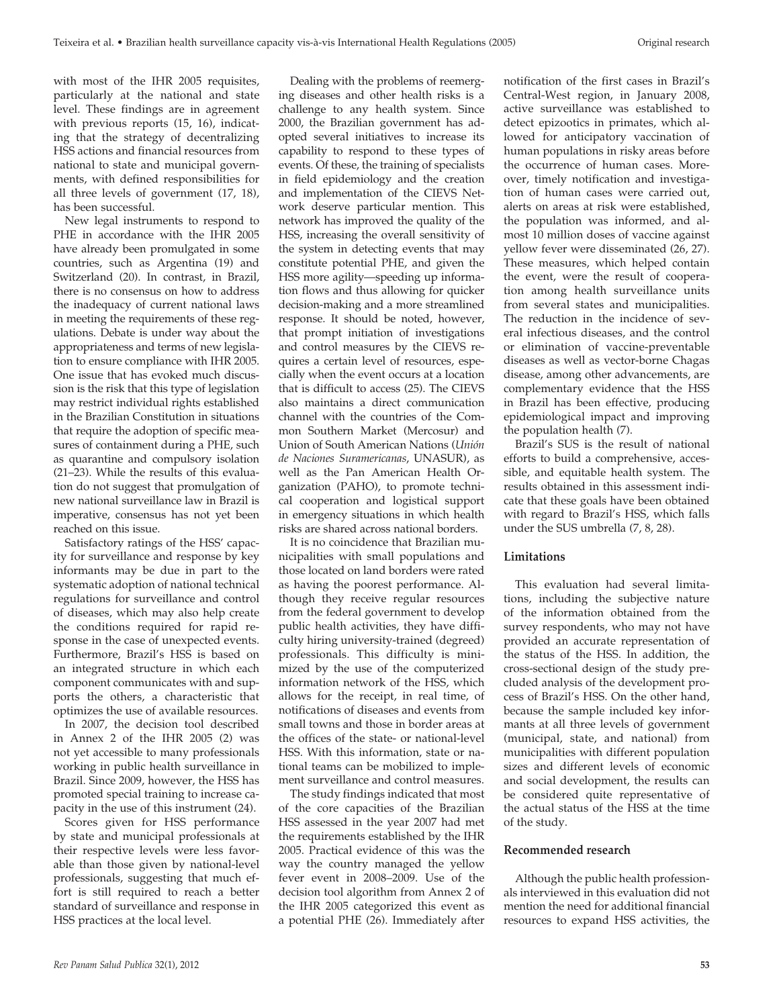with most of the IHR 2005 requisites, particularly at the national and state level. These findings are in agreement with previous reports (15, 16), indicating that the strategy of decentralizing HSS actions and financial resources from national to state and municipal governments, with defined responsibilities for all three levels of government (17, 18), has been successful.

New legal instruments to respond to PHE in accordance with the IHR 2005 have already been promulgated in some countries, such as Argentina (19) and Switzerland (20). In contrast, in Brazil, there is no consensus on how to address the inadequacy of current national laws in meeting the requirements of these regulations. Debate is under way about the appropriateness and terms of new legislation to ensure compliance with IHR 2005. One issue that has evoked much discussion is the risk that this type of legislation may restrict individual rights established in the Brazilian Constitution in situations that require the adoption of specific measures of containment during a PHE, such as quarantine and compulsory isolation (21–23). While the results of this evaluation do not suggest that promulgation of new national surveillance law in Brazil is imperative, consensus has not yet been reached on this issue.

Satisfactory ratings of the HSS' capacity for surveillance and response by key informants may be due in part to the systematic adoption of national technical regulations for surveillance and control of diseases, which may also help create the conditions required for rapid response in the case of unexpected events. Furthermore, Brazil's HSS is based on an integrated structure in which each component communicates with and supports the others, a characteristic that optimizes the use of available resources.

In 2007, the decision tool described in Annex 2 of the IHR 2005 (2) was not yet accessible to many professionals working in public health surveillance in Brazil. Since 2009, however, the HSS has promoted special training to increase capacity in the use of this instrument (24).

Scores given for HSS performance by state and municipal professionals at their respective levels were less favorable than those given by national-level professionals, suggesting that much effort is still required to reach a better standard of surveillance and response in HSS practices at the local level.

Dealing with the problems of reemerging diseases and other health risks is a challenge to any health system. Since 2000, the Brazilian government has adopted several initiatives to increase its capability to respond to these types of events. Of these, the training of specialists in field epidemiology and the creation and implementation of the CIEVS Network deserve particular mention. This network has improved the quality of the HSS, increasing the overall sensitivity of the system in detecting events that may constitute potential PHE, and given the HSS more agility—speeding up information flows and thus allowing for quicker decision-making and a more streamlined response. It should be noted, however, that prompt initiation of investigations and control measures by the CIEVS requires a certain level of resources, especially when the event occurs at a location that is difficult to access (25). The CIEVS also maintains a direct communication channel with the countries of the Common Southern Market (Mercosur) and Union of South American Nations (*Unión de Naciones Suramericanas*, UNASUR), as well as the Pan American Health Organization (PAHO), to promote technical cooperation and logistical support in emergency situations in which health risks are shared across national borders.

It is no coincidence that Brazilian municipalities with small populations and those located on land borders were rated as having the poorest performance. Although they receive regular resources from the federal government to develop public health activities, they have difficulty hiring university-trained (degreed) professionals. This difficulty is minimized by the use of the computerized information network of the HSS, which allows for the receipt, in real time, of notifications of diseases and events from small towns and those in border areas at the offices of the state- or national-level HSS. With this information, state or national teams can be mobilized to implement surveillance and control measures.

The study findings indicated that most of the core capacities of the Brazilian HSS assessed in the year 2007 had met the requirements established by the IHR 2005. Practical evidence of this was the way the country managed the yellow fever event in 2008–2009. Use of the decision tool algorithm from Annex 2 of the IHR 2005 categorized this event as a potential PHE (26). Immediately after

notification of the first cases in Brazil's Central-West region, in January 2008, active surveillance was established to detect epizootics in primates, which allowed for anticipatory vaccination of human populations in risky areas before the occurrence of human cases. Moreover, timely notification and investigation of human cases were carried out, alerts on areas at risk were established, the population was informed, and almost 10 million doses of vaccine against yellow fever were disseminated (26, 27). These measures, which helped contain the event, were the result of cooperation among health surveillance units from several states and municipalities. The reduction in the incidence of several infectious diseases, and the control or elimination of vaccine-preventable diseases as well as vector-borne Chagas disease, among other advancements, are complementary evidence that the HSS in Brazil has been effective, producing epidemiological impact and improving the population health (7).

Brazil's SUS is the result of national efforts to build a comprehensive, accessible, and equitable health system. The results obtained in this assessment indicate that these goals have been obtained with regard to Brazil's HSS, which falls under the SUS umbrella (7, 8, 28).

#### **Limitations**

This evaluation had several limitations, including the subjective nature of the information obtained from the survey respondents, who may not have provided an accurate representation of the status of the HSS. In addition, the cross-sectional design of the study precluded analysis of the development process of Brazil's HSS. On the other hand, because the sample included key informants at all three levels of government (municipal, state, and national) from municipalities with different population sizes and different levels of economic and social development, the results can be considered quite representative of the actual status of the HSS at the time of the study.

#### **Recommended research**

Although the public health professionals interviewed in this evaluation did not mention the need for additional financial resources to expand HSS activities, the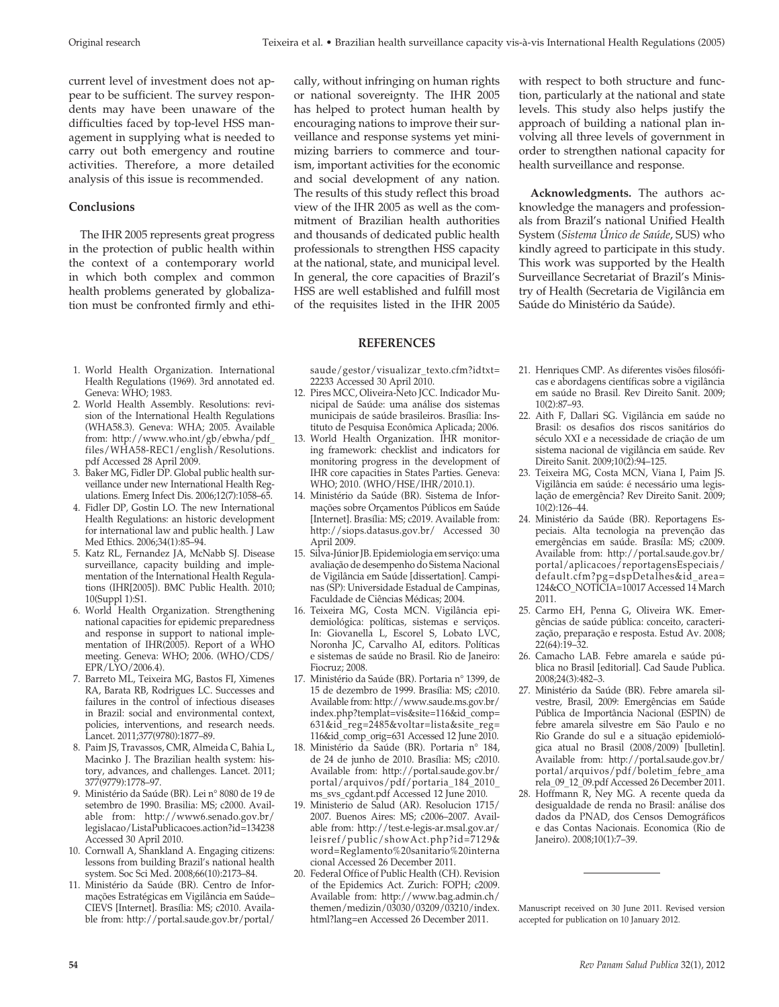current level of investment does not appear to be sufficient. The survey respondents may have been unaware of the difficulties faced by top-level HSS management in supplying what is needed to carry out both emergency and routine activities. Therefore, a more detailed analysis of this issue is recommended.

## **Conclusions**

The IHR 2005 represents great progress in the protection of public health within the context of a contemporary world in which both complex and common health problems generated by globalization must be confronted firmly and ethi-

- 1. World Health Organization. International Health Regulations (1969). 3rd annotated ed. Geneva: WHO; 1983.
- 2. World Health Assembly. Resolutions: revision of the International Health Regulations (WHA58.3). Geneva: WHA; 2005. Available from: http://www.who.int/gb/ebwha/pdf\_ files/WHA58-REC1/english/Resolutions. pdf Accessed 28 April 2009.
- 3. Baker MG, Fidler DP. Global public health surveillance under new International Health Regulations. Emerg Infect Dis. 2006;12(7):1058–65.
- 4. Fidler DP, Gostin LO. The new International Health Regulations: an historic development for international law and public health. J Law Med Ethics. 2006;34(1):85–94.
- 5. Katz RL, Fernandez JA, McNabb SJ. Disease surveillance, capacity building and implementation of the International Health Regulations (IHR[2005]). BMC Public Health. 2010; 10(Suppl 1):S1.
- 6. World Health Organization. Strengthening national capacities for epidemic preparedness and response in support to national implementation of IHR(2005). Report of a WHO meeting. Geneva: WHO; 2006. (WHO/CDS/ EPR/LYO/2006.4).
- 7. Barreto ML, Teixeira MG, Bastos FI, Ximenes RA, Barata RB, Rodrigues LC. Successes and failures in the control of infectious diseases in Brazil: social and environmental context, policies, interventions, and research needs. Lancet. 2011;377(9780):1877–89.
- 8. Paim JS, Travassos, CMR, Almeida C, Bahia L, Macinko J. The Brazilian health system: history, advances, and challenges. Lancet. 2011; 377(9779):1778–97.
- 9. Ministério da Saúde (BR). Lei n° 8080 de 19 de setembro de 1990. Brasilia: MS; c2000. Available from: http://www6.senado.gov.br/ legislacao/ListaPublicacoes.action?id=134238 Accessed 30 April 2010.
- 10. Cornwall A, Shankland A. Engaging citizens: lessons from building Brazil's national health system. Soc Sci Med. 2008;66(10):2173–84.
- 11. Ministério da Saúde (BR). Centro de Informações Estratégicas em Vigilância em Saúde– CIEVS [Internet]. Brasília: MS; c2010. Available from: http://portal.saude.gov.br/portal/

cally, without infringing on human rights or national sovereignty. The IHR 2005 has helped to protect human health by encouraging nations to improve their surveillance and response systems yet minimizing barriers to commerce and tourism, important activities for the economic and social development of any nation. The results of this study reflect this broad view of the IHR 2005 as well as the commitment of Brazilian health authorities and thousands of dedicated public health professionals to strengthen HSS capacity at the national, state, and municipal level. In general, the core capacities of Brazil's HSS are well established and fulfill most of the requisites listed in the IHR 2005

#### **REFERENCES**

saude/gestor/visualizar\_texto.cfm?idtxt= 22233 Accessed 30 April 2010.

- 12. Pires MCC, Oliveira-Neto JCC. Indicador Municipal de Saúde: uma análise dos sistemas municipais de saúde brasileiros. Brasília: Instituto de Pesquisa Econômica Aplicada; 2006.
- 13. World Health Organization. IHR monitoring framework: checklist and indicators for monitoring progress in the development of IHR core capacities in States Parties. Geneva: WHO; 2010. (WHO/HSE/IHR/2010.1).
- 14. Ministério da Saúde (BR). Sistema de Informações sobre Orçamentos Públicos em Saúde [Internet]. Brasília: MS; c2019. Available from: http://siops.datasus.gov.br/ Accessed 30 April 2009.
- 15. Silva-Júnior JB. Epidemiologia em serviço: uma avaliação de desempenho do Sistema Nacional de Vigilância em Saúde [dissertation]. Campinas (SP): Universidade Estadual de Campinas, Faculdade de Ciências Médicas; 2004.
- 16. Teixeira MG, Costa MCN. Vigilância epidemiológica: políticas, sistemas e serviços. In: Giovanella L, Escorel S, Lobato LVC, Noronha JC, Carvalho AI, editors. Políticas e sistemas de saúde no Brasil. Rio de Janeiro: Fiocruz; 2008.
- 17. Ministério da Saúde (BR). Portaria n° 1399, de 15 de dezembro de 1999. Brasília: MS; c2010. Available from: http://www.saude.ms.gov.br/ index.php?templat=vis&site=116&id\_comp= 631&id\_reg=2485&voltar=lista&site\_reg= 116&id\_comp\_orig=631 Accessed 12 June 2010.
- 18. Ministério da Saúde (BR). Portaria n° 184, de 24 de junho de 2010. Brasília: MS; c2010. Available from: http://portal.saude.gov.br/ portal/arquivos/pdf/portaria\_184\_2010\_ ms\_svs\_cgdant.pdf Accessed 12 June 2010.
- 19. Ministerio de Salud (AR). Resolucion 1715/ 2007. Buenos Aires: MS; c2006–2007. Available from: http://test.e-legis-ar.msal.gov.ar/ leisref/public/showAct.php?id=7129& word=Reglamento%20sanitario%20interna cional Accessed 26 December 2011.
- 20. Federal Office of Public Health (CH). Revision of the Epidemics Act. Zurich: FOPH; c2009. Available from: http://www.bag.admin.ch/ themen/medizin/03030/03209/03210/index. html?lang=en Accessed 26 December 2011.

with respect to both structure and function, particularly at the national and state levels. This study also helps justify the approach of building a national plan involving all three levels of government in order to strengthen national capacity for health surveillance and response.

**Acknowledgments.** The authors acknowledge the managers and professionals from Brazil's national Unified Health System (*Sistema Único de Saúde*, SUS) who kindly agreed to participate in this study. This work was supported by the Health Surveillance Secretariat of Brazil's Ministry of Health (Secretaria de Vigilância em Saúde do Ministério da Saúde).

- 21. Henriques CMP. As diferentes visões filosóficas e abordagens científicas sobre a vigilância em saúde no Brasil. Rev Direito Sanit. 2009; 10(2):87–93.
- 22. Aith F, Dallari SG. Vigilância em saúde no Brasil: os desafios dos riscos sanitários do século XXI e a necessidade de criação de um sistema nacional de vigilância em saúde. Rev Direito Sanit. 2009;10(2):94–125.
- 23. Teixeira MG, Costa MCN, Viana I, Paim JS. Vigilância em saúde: é necessário uma legislação de emergência? Rev Direito Sanit. 2009; 10(2):126–44.
- 24. Ministério da Saúde (BR). Reportagens Especiais. Alta tecnologia na prevenção das emergências em saúde. Brasíla: MS; c2009. Available from: http://portal.saude.gov.br/ portal/aplicacoes/reportagensEspeciais/ default.cfm?pg=dspDetalhes&id\_area= 124&CO\_NOTICIA=10017 Accessed 14 March 2011.
- 25. Carmo EH, Penna G, Oliveira WK. Emergências de saúde pública: conceito, caracterização, preparação e resposta. Estud Av. 2008; 22(64):19–32.
- 26. Camacho LAB. Febre amarela e saúde pública no Brasil [editorial]. Cad Saude Publica. 2008;24(3):482–3.
- 27. Ministério da Saúde (BR). Febre amarela silvestre, Brasil, 2009: Emergências em Saúde Pública de Importância Nacional (ESPIN) de febre amarela silvestre em São Paulo e no Rio Grande do sul e a situação epidemiológica atual no Brasil (2008/2009) [bulletin]. Available from: http://portal.saude.gov.br/ portal/arquivos/pdf/boletim\_febre\_ama rela\_09\_12\_09.pdf Accessed 26 December 2011.
- 28. Hoffmann R, Ney MG. A recente queda da desigualdade de renda no Brasil: análise dos dados da PNAD, dos Censos Demográficos e das Contas Nacionais. Economica (Rio de Janeiro). 2008;10(1):7–39.

Manuscript received on 30 June 2011. Revised version accepted for publication on 10 January 2012.